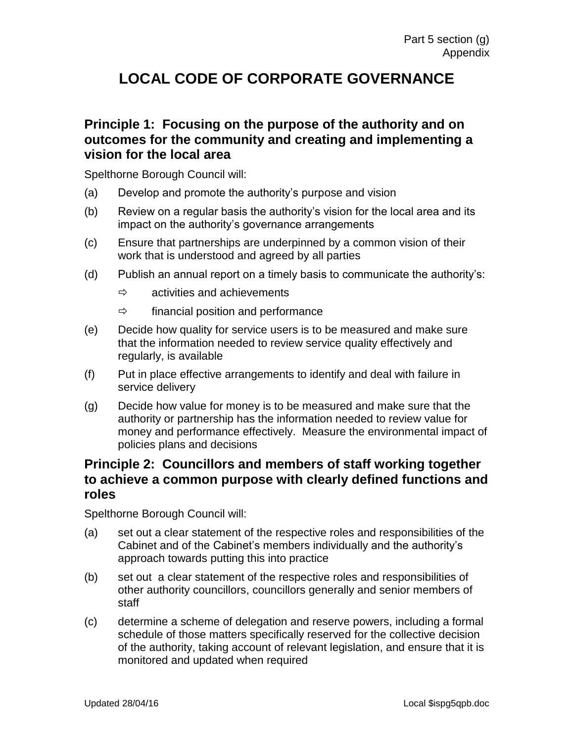# **LOCAL CODE OF CORPORATE GOVERNANCE**

#### **Principle 1: Focusing on the purpose of the authority and on outcomes for the community and creating and implementing a vision for the local area**

Spelthorne Borough Council will:

- (a) Develop and promote the authority's purpose and vision
- (b) Review on a regular basis the authority's vision for the local area and its impact on the authority's governance arrangements
- (c) Ensure that partnerships are underpinned by a common vision of their work that is understood and agreed by all parties
- (d) Publish an annual report on a timely basis to communicate the authority's:
	- $\Rightarrow$  activities and achievements
	- $\Rightarrow$  financial position and performance
- (e) Decide how quality for service users is to be measured and make sure that the information needed to review service quality effectively and regularly, is available
- (f) Put in place effective arrangements to identify and deal with failure in service delivery
- (g) Decide how value for money is to be measured and make sure that the authority or partnership has the information needed to review value for money and performance effectively. Measure the environmental impact of policies plans and decisions

## **Principle 2: Councillors and members of staff working together to achieve a common purpose with clearly defined functions and roles**

- (a) set out a clear statement of the respective roles and responsibilities of the Cabinet and of the Cabinet's members individually and the authority's approach towards putting this into practice
- (b) set out a clear statement of the respective roles and responsibilities of other authority councillors, councillors generally and senior members of staff
- (c) determine a scheme of delegation and reserve powers, including a formal schedule of those matters specifically reserved for the collective decision of the authority, taking account of relevant legislation, and ensure that it is monitored and updated when required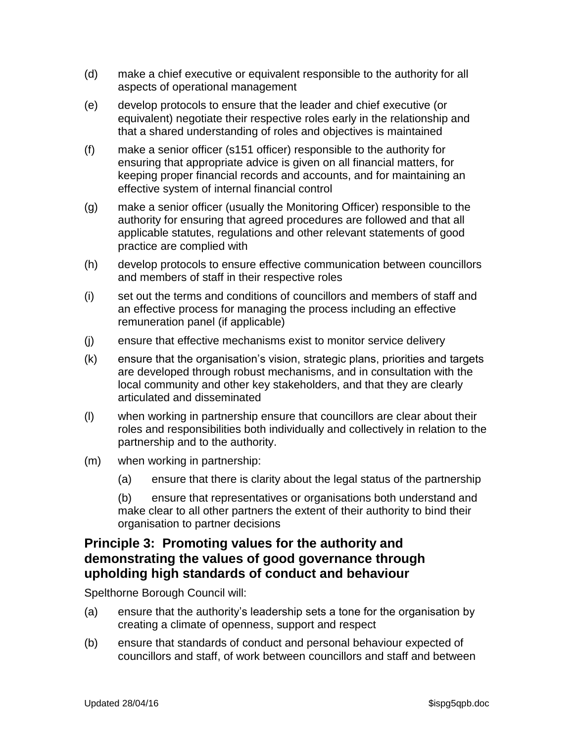- (d) make a chief executive or equivalent responsible to the authority for all aspects of operational management
- (e) develop protocols to ensure that the leader and chief executive (or equivalent) negotiate their respective roles early in the relationship and that a shared understanding of roles and objectives is maintained
- (f) make a senior officer (s151 officer) responsible to the authority for ensuring that appropriate advice is given on all financial matters, for keeping proper financial records and accounts, and for maintaining an effective system of internal financial control
- (g) make a senior officer (usually the Monitoring Officer) responsible to the authority for ensuring that agreed procedures are followed and that all applicable statutes, regulations and other relevant statements of good practice are complied with
- (h) develop protocols to ensure effective communication between councillors and members of staff in their respective roles
- (i) set out the terms and conditions of councillors and members of staff and an effective process for managing the process including an effective remuneration panel (if applicable)
- (j) ensure that effective mechanisms exist to monitor service delivery
- (k) ensure that the organisation's vision, strategic plans, priorities and targets are developed through robust mechanisms, and in consultation with the local community and other key stakeholders, and that they are clearly articulated and disseminated
- (l) when working in partnership ensure that councillors are clear about their roles and responsibilities both individually and collectively in relation to the partnership and to the authority.
- (m) when working in partnership:
	- (a) ensure that there is clarity about the legal status of the partnership

(b) ensure that representatives or organisations both understand and make clear to all other partners the extent of their authority to bind their organisation to partner decisions

### **Principle 3: Promoting values for the authority and demonstrating the values of good governance through upholding high standards of conduct and behaviour**

- (a) ensure that the authority's leadership sets a tone for the organisation by creating a climate of openness, support and respect
- (b) ensure that standards of conduct and personal behaviour expected of councillors and staff, of work between councillors and staff and between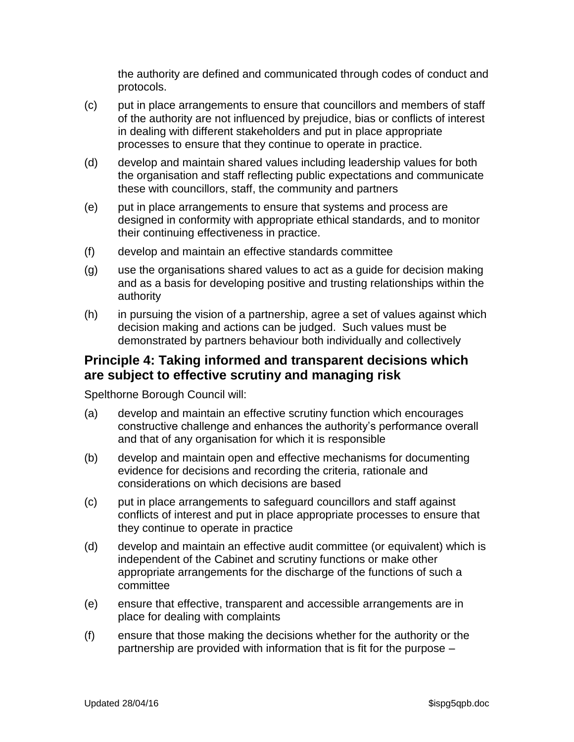the authority are defined and communicated through codes of conduct and protocols.

- (c) put in place arrangements to ensure that councillors and members of staff of the authority are not influenced by prejudice, bias or conflicts of interest in dealing with different stakeholders and put in place appropriate processes to ensure that they continue to operate in practice.
- (d) develop and maintain shared values including leadership values for both the organisation and staff reflecting public expectations and communicate these with councillors, staff, the community and partners
- (e) put in place arrangements to ensure that systems and process are designed in conformity with appropriate ethical standards, and to monitor their continuing effectiveness in practice.
- (f) develop and maintain an effective standards committee
- (g) use the organisations shared values to act as a guide for decision making and as a basis for developing positive and trusting relationships within the authority
- (h) in pursuing the vision of a partnership, agree a set of values against which decision making and actions can be judged. Such values must be demonstrated by partners behaviour both individually and collectively

#### **Principle 4: Taking informed and transparent decisions which are subject to effective scrutiny and managing risk**

- (a) develop and maintain an effective scrutiny function which encourages constructive challenge and enhances the authority's performance overall and that of any organisation for which it is responsible
- (b) develop and maintain open and effective mechanisms for documenting evidence for decisions and recording the criteria, rationale and considerations on which decisions are based
- (c) put in place arrangements to safeguard councillors and staff against conflicts of interest and put in place appropriate processes to ensure that they continue to operate in practice
- (d) develop and maintain an effective audit committee (or equivalent) which is independent of the Cabinet and scrutiny functions or make other appropriate arrangements for the discharge of the functions of such a committee
- (e) ensure that effective, transparent and accessible arrangements are in place for dealing with complaints
- (f) ensure that those making the decisions whether for the authority or the partnership are provided with information that is fit for the purpose –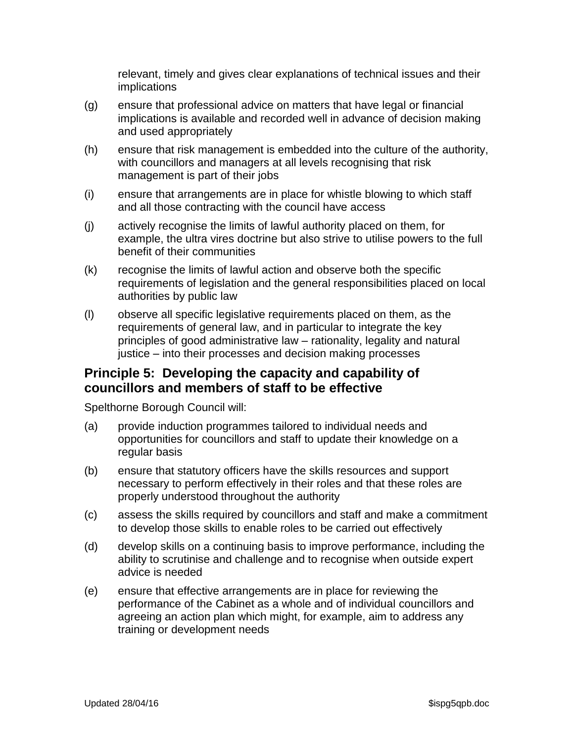relevant, timely and gives clear explanations of technical issues and their implications

- (g) ensure that professional advice on matters that have legal or financial implications is available and recorded well in advance of decision making and used appropriately
- (h) ensure that risk management is embedded into the culture of the authority, with councillors and managers at all levels recognising that risk management is part of their jobs
- (i) ensure that arrangements are in place for whistle blowing to which staff and all those contracting with the council have access
- (j) actively recognise the limits of lawful authority placed on them, for example, the ultra vires doctrine but also strive to utilise powers to the full benefit of their communities
- (k) recognise the limits of lawful action and observe both the specific requirements of legislation and the general responsibilities placed on local authorities by public law
- (l) observe all specific legislative requirements placed on them, as the requirements of general law, and in particular to integrate the key principles of good administrative law – rationality, legality and natural justice – into their processes and decision making processes

## **Principle 5: Developing the capacity and capability of councillors and members of staff to be effective**

- (a) provide induction programmes tailored to individual needs and opportunities for councillors and staff to update their knowledge on a regular basis
- (b) ensure that statutory officers have the skills resources and support necessary to perform effectively in their roles and that these roles are properly understood throughout the authority
- (c) assess the skills required by councillors and staff and make a commitment to develop those skills to enable roles to be carried out effectively
- (d) develop skills on a continuing basis to improve performance, including the ability to scrutinise and challenge and to recognise when outside expert advice is needed
- (e) ensure that effective arrangements are in place for reviewing the performance of the Cabinet as a whole and of individual councillors and agreeing an action plan which might, for example, aim to address any training or development needs